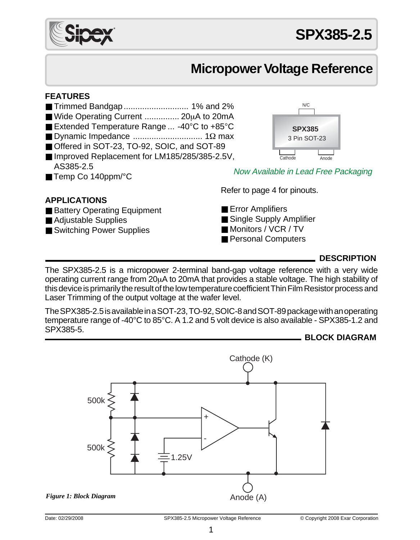

# **Micropower Voltage Reference**

### **FEATURES**

- Trimmed Bandgap ............................ 1% and 2%
- Wide Operating Current ................ 20µA to 20mA
- Extended Temperature Range ... -40°C to +85°C
- Dynamic Impedance .............................. 1Ω max
- Offered in SOT-23, TO-92, SOIC, and SOT-89
- Improved Replacement for LM185/285/385-2.5V, AS385-2.5
- Temp Co 140ppm/°C

# **APPLICATIONS**

# ■ Battery Operating Equipment

- Adjustable Supplies
- Switching Power Supplies

Now Available in Lead Free Packaging

Refer to page 4 for pinouts.

- Error Amplifiers
- Single Supply Amplifier
- Monitors / VCR / TV
- Personal Computers

# **DESCRIPTION**

The SPX385-2.5 is a micropower 2-terminal band-gap voltage reference with a very wide operating current range from 20µA to 20mA that provides a stable voltage. The high stability of this device is primarily the result of the low temperature coefficient Thin Film Resistor process and Laser Trimming of the output voltage at the wafer level.

The SPX385-2.5 is available in a SOT-23, TO-92, SOIC-8 and SOT-89 package with an operating temperature range of -40°C to 85°C. A 1.2 and 5 volt device is also available - SPX385-1.2 and SPX385-5.

**BLOCK DIAGRAM**



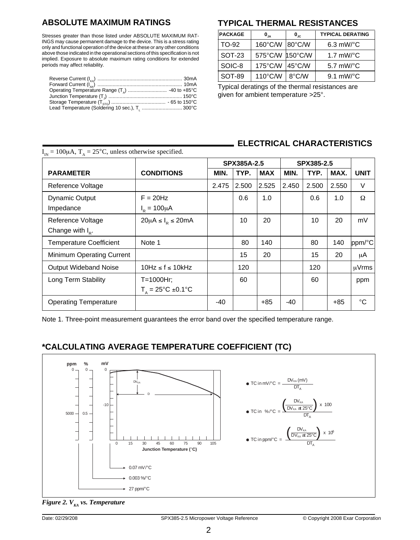Stresses greater than those listed under ABSOLUTE MAXIMUM RAT-INGS may cause permanent damage to the device. This is a stress rating only and functional operation of the device at these or any other conditions above those indicated in the operational sections of this specification is not implied. Exposure to absolute maximum rating conditions for extended periods may affect reliability.

| Lead Temperature (Soldering 10 sec.), T.  300°C |  |
|-------------------------------------------------|--|

# **ABSOLUTE MAXIMUM RATINGS TYPICAL THERMAL RESISTANCES**

| <b>PACKAGE</b> | $\mathbf{0}_{.1A}$ | $\mathbf{0}_{\text{JC}}$ | <b>TYPICAL DERATING</b> |
|----------------|--------------------|--------------------------|-------------------------|
| TO-92          | $160^{\circ}$ C/W  | $180^{\circ}$ C/W        | $6.3$ mW/ $\degree$ C   |
| <b>SOT-23</b>  | 575°C/W            | $150^{\circ}$ C/W        | 1.7 $mW$ <sup>o</sup> C |
| SOIC-8         | 175°C/W            | 145°C/W                  | 5.7 mW/ $\rm ^{\circ}C$ |
| SOT-89         | $110^{\circ}$ C/W  | $8^{\circ}$ C/W          | 9.1 mW/ $\rm ^{\circ}C$ |

Typical deratings of the thermal resistances are given for ambient temperature >25°.

# **ELECTRICAL CHARACTERISTICS**

| $I_{\text{N}} = 100 \mu A$ , $T_{A} = 25^{\circ}C$ , unless otherwise specified. |                                          |             |       |            |       |       |       |                      |
|----------------------------------------------------------------------------------|------------------------------------------|-------------|-------|------------|-------|-------|-------|----------------------|
|                                                                                  |                                          | SPX385A-2.5 |       | SPX385-2.5 |       |       |       |                      |
| <b>PARAMETER</b>                                                                 | <b>CONDITIONS</b>                        | MIN.        | TYP.  | <b>MAX</b> | MIN.  | TYP.  | MAX.  | <b>UNIT</b>          |
| Reference Voltage                                                                |                                          | 2.475       | 2.500 | 2.525      | 2.450 | 2.500 | 2.550 | $\vee$               |
| Dynamic Output                                                                   | $F = 20$ Hz                              |             | 0.6   | 1.0        |       | 0.6   | 1.0   | Ω                    |
| Impedance                                                                        | $I_p = 100 \mu A$                        |             |       |            |       |       |       |                      |
| Reference Voltage                                                                | $20\mu A \leq I_R \leq 20mA$             |             | 10    | 20         |       | 10    | 20    | mV                   |
| Change with $I_{n}$ .                                                            |                                          |             |       |            |       |       |       |                      |
| <b>Temperature Coefficient</b>                                                   | Note 1                                   |             | 80    | 140        |       | 80    | 140   | $ppm$ <sup>o</sup> C |
| Minimum Operating Current                                                        |                                          |             | 15    | 20         |       | 15    | 20    | μA                   |
| <b>Output Wideband Noise</b>                                                     | $10Hz \le f \le 10kHz$                   |             | 120   |            |       | 120   |       | uVrms                |
| Long Term Stability                                                              | T=1000Hr;                                |             | 60    |            |       | 60    |       | ppm                  |
|                                                                                  | $T_{\rm A} = 25^{\circ}C = 0.1^{\circ}C$ |             |       |            |       |       |       |                      |
| <b>Operating Temperature</b>                                                     |                                          | -40         |       | $+85$      | $-40$ |       | $+85$ | °C                   |

Note 1. Three-point measurement guarantees the error band over the specified temperature range.

# **\*CALCULATING AVERAGE TEMPERATURE COEFFICIENT (TC)**



*Figure 2. V<sub>KA</sub> vs. Temperature*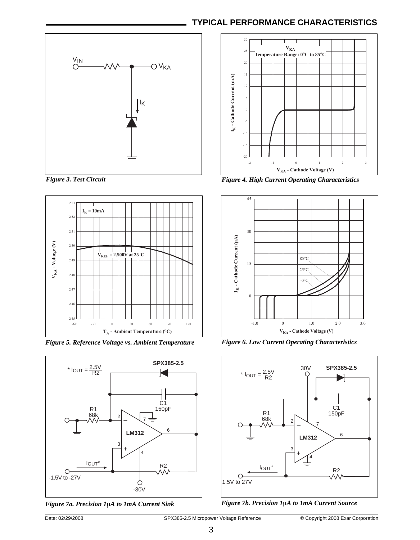# **TYPICAL PERFORMANCE CHARACTERISTICS**







*Figure 5. Reference Voltage vs. Ambient Temperature Figure 6. Low Current Operating Characteristics*



*Figure 7a. Precision 1*µ*A to 1mA Current Sink Figure 7b. Precision 1*µ*A to 1mA Current Source*



*Figure 3. Test Circuit Figure 4. High Current Operating Characteristics*



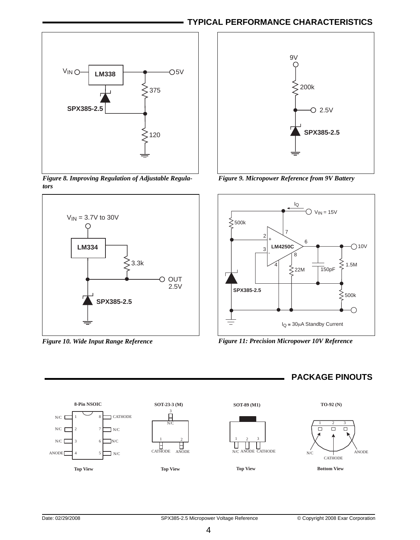# **TYPICAL PERFORMANCE CHARACTERISTICS**









*Figure 9. Micropower Reference from 9V Battery*



*Figure 10. Wide Input Range Reference Figure 11: Precision Micropower 10V Reference*

## **PACKAGE PINOUTS**

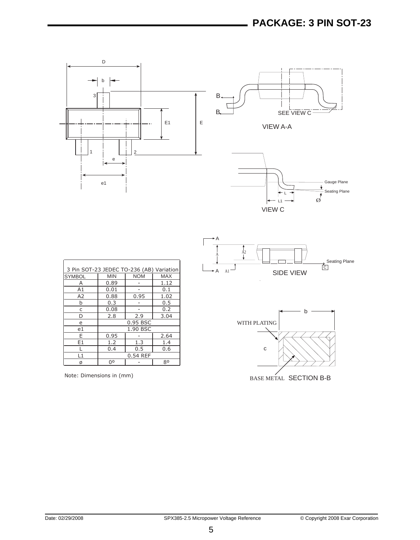

| 3 Pin SOT-23 JEDEC TO-236 (AB) Variation |            |            |            |
|------------------------------------------|------------|------------|------------|
| <b>SYMBOL</b>                            | <b>MIN</b> | <b>NOM</b> | <b>MAX</b> |
| А                                        | 0.89       |            | 1.12       |
| A1                                       | 0.01       |            | 0.1        |
| A <sub>2</sub>                           | 0.88       | 0.95       | 1.02       |
| b                                        | 0.3        |            | 0.5        |
| C                                        | 0.08       |            | 0.2        |
| D                                        | 2.8        | 2.9        | 3.04       |
| e                                        | 0.95 BSC   |            |            |
| e1                                       | 1.90 BSC   |            |            |
| F                                        | 0.95       |            | 2.64       |
| E <sub>1</sub>                           | 1.2        | 1.3        | 1.4        |
|                                          | 0.4        | 0.5        | 0.6        |
| l 1                                      | 0.54 REF   |            |            |
| Ø                                        | Ωo         |            | 80         |

Note: Dimensions in (mm)



BASE METAL SECTION B-B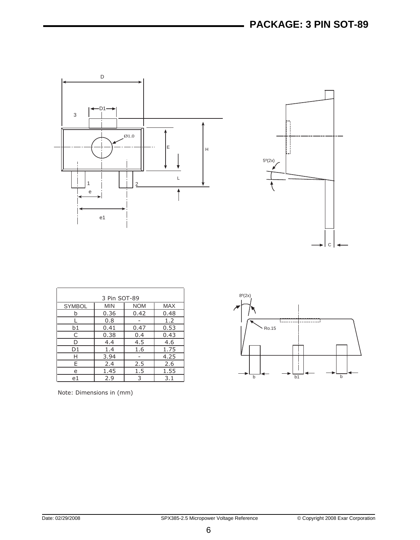



|               | 3 Pin SOT-89 |            |            |  |
|---------------|--------------|------------|------------|--|
| <b>SYMBOL</b> | <b>MIN</b>   | <b>NOM</b> | <b>MAX</b> |  |
| h             | 0.36         | 0.42       | 0.48       |  |
|               | 0.8          |            | 1.2        |  |
| b1            | 0.41         | 0.47       | 0.53       |  |
| C             | 0.38         | 0.4        | 0.43       |  |
| D             | 4.4          | 4.5        | 4.6        |  |
| D1            | 1.4          | 1.6        | 1.75       |  |
| Н             | 3.94         |            | 4.25       |  |
| E             | 2.4          | 2.5        | 2.6        |  |
| e             | 1.45         | 1.5        | 1.55       |  |
| e1            | 2.9          | 3          | 3.1        |  |

Note: Dimensions in (mm)

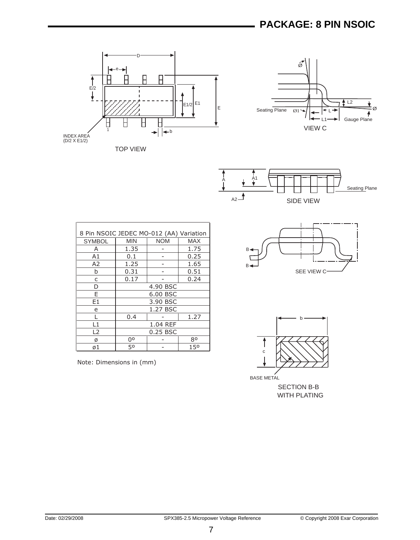





| 8 Pin NSOIC JEDEC MO-012 (AA) Variation |            |            |            |  |
|-----------------------------------------|------------|------------|------------|--|
| <b>SYMBOL</b>                           | <b>MIN</b> | <b>NOM</b> | <b>MAX</b> |  |
| А                                       | 1.35       |            | 1.75       |  |
| A1                                      | 0.1        |            | 0.25       |  |
| A2                                      | 1.25       |            | 1.65       |  |
| b                                       | 0.31       |            | 0.51       |  |
| C                                       | 0.17       |            | 0.24       |  |
| D                                       | 4.90 BSC   |            |            |  |
| F                                       | 6.00 BSC   |            |            |  |
| E1                                      | 3.90 BSC   |            |            |  |
| e                                       |            | 1.27 BSC   |            |  |
|                                         | 0.4        |            | 1.27       |  |
| L1                                      | 1.04 REF   |            |            |  |
| L <sub>2</sub>                          | 0.25 BSC   |            |            |  |
| Ø                                       | 00         |            | 80         |  |
| ø1                                      | 50         |            | 150        |  |

Note: Dimensions in (mm)





BASE METAL

SECTION B-B WITH PLATING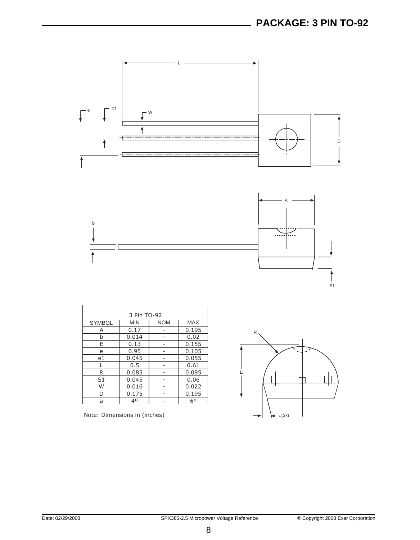



|                | 3 Pin TO-92 |            |            |
|----------------|-------------|------------|------------|
| <b>SYMBOL</b>  | <b>MIN</b>  | <b>NOM</b> | <b>MAX</b> |
| Α              | 0.17        |            | 0.195      |
| b              | 0.014       |            | 0.02       |
| E              | 0.13        |            | 0.155      |
| e              | 0.95        |            | 0.105      |
| e1             | 0.045       |            | 0.055      |
|                | 0.5         |            | 0.61       |
| R              | 0.085       |            | 0.095      |
| S <sub>1</sub> | 0.045       |            | 0.06       |
| W              | 0.016       |            | 0.022      |
| D              | 0.175       |            | 0.195      |
| a              | 40          |            | 60         |

Note: Dimensions in (inches)